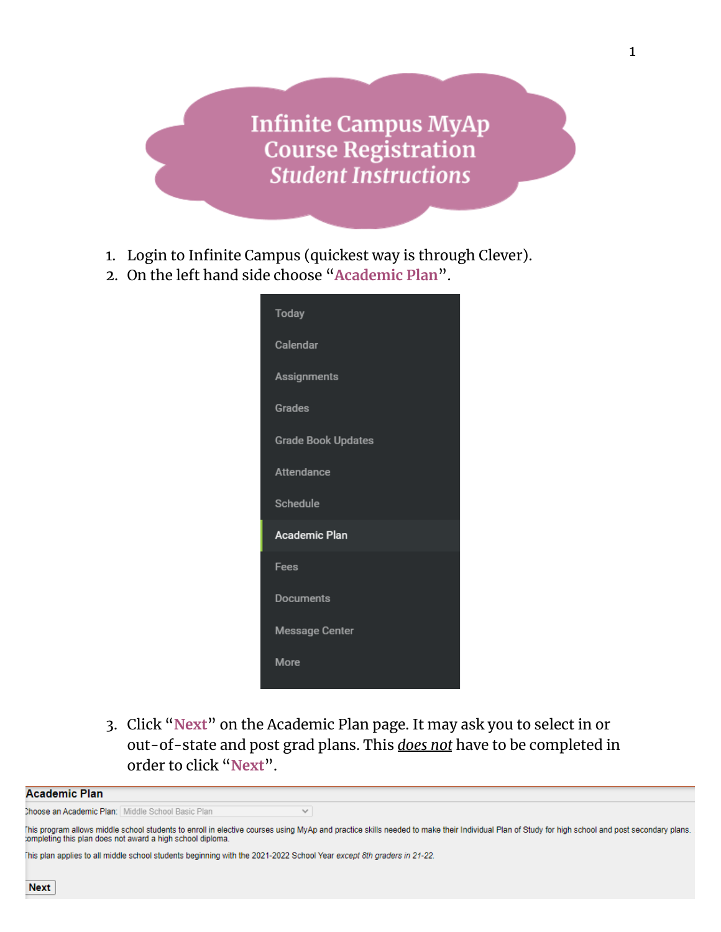**Infinite Campus MyAp Course Registration Student Instructions** 

- 1. Login to Infinite Campus (quickest way is through Clever).
- 2. On the left hand side choose "**Academic Plan**".

| <b>Today</b>              |  |
|---------------------------|--|
| Calendar                  |  |
| Assignments               |  |
| <b>Grades</b>             |  |
| <b>Grade Book Updates</b> |  |
| Attendance                |  |
| Schedule                  |  |
| <b>Academic Plan</b>      |  |
| Fees                      |  |
| <b>Documents</b>          |  |
| <b>Message Center</b>     |  |
| More                      |  |
|                           |  |

3. Click "**Next**" on the Academic Plan page. It may ask you to select in or out-of-state and post grad plans. This *does not* have to be completed in order to click "**Next**".

| <b>hoose an Academic Pian</b> : I Middle School Basic Pian - |                                                          |                                                                                                                                                                                                |  |  |
|--------------------------------------------------------------|----------------------------------------------------------|------------------------------------------------------------------------------------------------------------------------------------------------------------------------------------------------|--|--|
|                                                              |                                                          | his program allows middle school students to enroll in elective courses using MyAp and practice skills needed to make their Individual Plan of Study for high school and post secondary plans. |  |  |
|                                                              | ompleting this plan does not award a high school diploma |                                                                                                                                                                                                |  |  |

This plan applies to all middle school students beginning with the 2021-2022 School Year except 8th graders in 21-22.

**Academic Plan**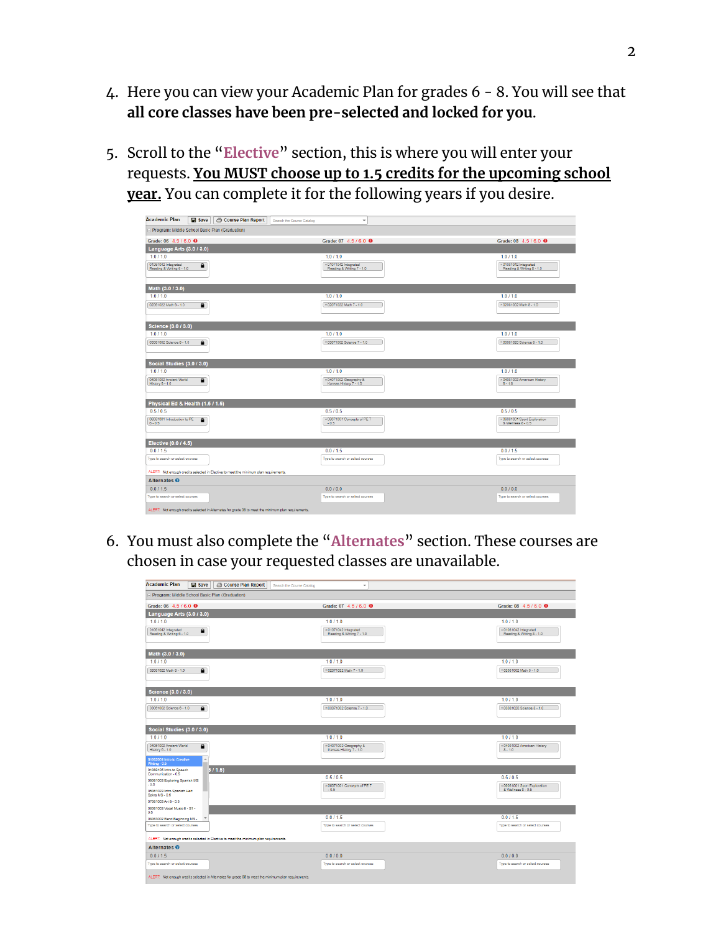- 4. Here you can view your Academic Plan for grades 6 8. You will see that **all core classes have been pre-selected and locked for you**.
- 5. Scroll to the "**Elective**" section, this is where you will enter your requests. **You MUST choose up to 1.5 credits for the upcoming school year.** You can complete it for the following years if you desire.

| <b>Academic Plan</b>                             | Course Plan Report<br>Save                                                                           | Search the Course Catalog<br>$\overline{\phantom{a}}$     |                                                           |
|--------------------------------------------------|------------------------------------------------------------------------------------------------------|-----------------------------------------------------------|-----------------------------------------------------------|
|                                                  | - Program: Middle School Basic Plan (Graduation)                                                     |                                                           |                                                           |
| Grade: 06 4.5 / 6.0 <sup>O</sup>                 |                                                                                                      | Grade: 07 4.5 / 6.0 <sup>0</sup>                          | Grade: 08 4.5 / 6.0 <b>⊕</b>                              |
| Language Arts (3.0 / 3.0)                        |                                                                                                      |                                                           |                                                           |
| 1.0 / 1.0                                        |                                                                                                      | 1.0 / 1.0                                                 | 1.0 / 1.0                                                 |
| 01061042 Integrated<br>Reading & Writing 6 - 1.0 | $\bullet$                                                                                            | $\times$ 01071042 Integrated<br>Reading & Writing 7 - 1.0 | $\times$ 01081042 Integrated<br>Reading & Writing 8 - 1.0 |
| Math (3.0 / 3.0)                                 |                                                                                                      |                                                           |                                                           |
| 1.0 / 1.0                                        |                                                                                                      | 1.0 / 1.0                                                 | 1.0 / 1.0                                                 |
| 02061022 Math 6 - 1.0                            | $\mathbf{a}$                                                                                         | ×02071022 Math 7 - 1.0                                    | ×02081002 Math 8 - 1.0                                    |
| <b>Science (3.0 / 3.0)</b>                       |                                                                                                      |                                                           |                                                           |
| 1.0 / 1.0                                        |                                                                                                      | 1.0 / 1.0                                                 | 1.0 / 1.0                                                 |
| 03061002 Science 6 - 1.0                         | $\bullet$                                                                                            | ×03071002 Science 7 - 1.0                                 | ×03081020 Science 8 - 1.0                                 |
| Social Studies (3.0 / 3.0)                       |                                                                                                      |                                                           |                                                           |
| 1.0 / 1.0                                        |                                                                                                      | 1.0 / 1.0                                                 | 1.0 / 1.0                                                 |
| 04061002 Ancient World<br>History 6 - 1.0        | $\bullet$                                                                                            | × 04071002 Geography &<br>Kansas History 7 - 1.0          | ×04081002 American History<br>$8 - 1.0$                   |
| Physical Ed & Health (1.5 / 1.5)                 |                                                                                                      |                                                           |                                                           |
| 0.5/0.5                                          |                                                                                                      | 0.5/0.5                                                   | 0.5/0.5                                                   |
| 06061001 Introduction to PE<br>$6 - 0.5$         | $\mathbf{a}$                                                                                         | ×06071001 Concepts of PE 7<br>$-0.5$                      | ×06081001 Sport Exploration<br>& Wellness 8 - 0.5         |
| Elective (0.0 / 4.5)                             |                                                                                                      |                                                           |                                                           |
| 0.011.5                                          |                                                                                                      | 0.0 / 1.5                                                 | 0.011.5                                                   |
| Type to search or select courses                 |                                                                                                      | Type to search or select courses                          | Type to search or select courses                          |
|                                                  | ALERT: Not enough credits selected in Elective to meet the minimum plan requirements.                |                                                           |                                                           |
| Alternates <sup>O</sup>                          |                                                                                                      |                                                           |                                                           |
| 0.011.5                                          |                                                                                                      | 0.0 / 0.0                                                 | 0.010.0                                                   |
| Type to search or select courses                 |                                                                                                      | Type to search or select courses                          | Type to search or select courses                          |
|                                                  | ALERT: Not enough credits selected in Alternates for grade 06 to meet the minimum plan requirements. |                                                           |                                                           |

6. You must also complete the "**Alternates**" section. These courses are chosen in case your requested classes are unavailable.

| <b>Academic Plan</b><br><b>Save</b>                            | <b>6 Course Plan Report</b><br>Search the Course Catalog<br>$\overline{\phantom{a}}$                 |                                                   |  |  |  |
|----------------------------------------------------------------|------------------------------------------------------------------------------------------------------|---------------------------------------------------|--|--|--|
| - Program: Middle School Basic Plan (Graduation)               |                                                                                                      |                                                   |  |  |  |
| Grade: 06 4.5 / 6.0 <b>⊕</b>                                   | Grade: 07 4.5 / 6.0 <sup>O</sup>                                                                     | Grade: 08 4.5 / 6.0 <sup>0</sup>                  |  |  |  |
| Language Arts (3.0 / 3.0)                                      |                                                                                                      |                                                   |  |  |  |
| 1.011.0                                                        | 1.011.0                                                                                              | 1.0 / 1.0                                         |  |  |  |
| 01061042 Integrated<br>$\bullet$<br>Reading & Writing 6 - 1.0  | x 01071042 Integrated<br>Reading & Writing 7 - 1.0                                                   | ×01081042 Integrated<br>Reading & Writing 8 - 1.0 |  |  |  |
|                                                                |                                                                                                      |                                                   |  |  |  |
| Math (3.0 / 3.0)                                               |                                                                                                      |                                                   |  |  |  |
| 1.0 / 1.0                                                      | 1.011.0                                                                                              | 1.0 / 1.0                                         |  |  |  |
| $\blacksquare$<br>02061022 Math 6 - 1.0                        | ×02071022 Math 7 - 1.0                                                                               | ×02081002 Math 8 - 1.0                            |  |  |  |
|                                                                |                                                                                                      |                                                   |  |  |  |
| Science (3.0 / 3.0)                                            |                                                                                                      |                                                   |  |  |  |
| 10/10                                                          | 10/10                                                                                                | 10/10                                             |  |  |  |
| 03061002 Science 6 - 1.0<br>$\bullet$                          | × 03071002 Science 7 - 1.0                                                                           | *03081020 Science 8 - 1.0                         |  |  |  |
|                                                                |                                                                                                      |                                                   |  |  |  |
| Social Studies (3.0 / 3.0)                                     |                                                                                                      |                                                   |  |  |  |
| 1.011.0                                                        | 1.0 / 1.0                                                                                            | 10/10                                             |  |  |  |
| 04061002 Ancient World<br>$\mathbf{\Theta}$<br>History 6 - 1.0 | × 04071002 Geography &<br>Kansas History 7 - 1.0                                                     | x 04081002 American History<br>$8 - 1.0$          |  |  |  |
|                                                                |                                                                                                      |                                                   |  |  |  |
| 01062001 Intro to Creative<br>Writing - 0.5                    |                                                                                                      |                                                   |  |  |  |
| 01068105 Intro to Speech<br>Communication - 0.5                | 5/1.5<br>0.5/0.5                                                                                     | 0.5/0.5                                           |  |  |  |
| 05061003 Exploring Spanish MS<br>$-0.5$                        | ×06071001 Concepts of PE 7                                                                           | ×06081001 Sport Exploration                       |  |  |  |
| 05061023 Intro Spanish Hert<br>Spkrs MS - 0.5                  | $-0.5$                                                                                               | & Wellness 8 - 0.5                                |  |  |  |
| 07061003 Art 6 - 0.5                                           |                                                                                                      |                                                   |  |  |  |
| 08061003 Vocal Music 6 - S1 -<br>0.5                           |                                                                                                      |                                                   |  |  |  |
| 08063002 Band Beginning MS - W                                 | 0.0115                                                                                               | 0.0115                                            |  |  |  |
| Type to search or select courses                               | Type to search or select courses                                                                     | Type to search or select courses                  |  |  |  |
|                                                                | ALERT: Not enough credits selected in Elective to meet the minimum plan requirements.                |                                                   |  |  |  |
| Alternates <sup>O</sup>                                        |                                                                                                      |                                                   |  |  |  |
| 0.011.5                                                        | 0.0 / 0.0                                                                                            | 0.0 / 0.0                                         |  |  |  |
| Type to search or select courses                               | Type to search or select courses                                                                     | Type to search or select courses                  |  |  |  |
|                                                                | ALERT: Not enough credits selected in Alternates for grade 06 to meet the minimum plan requirements. |                                                   |  |  |  |